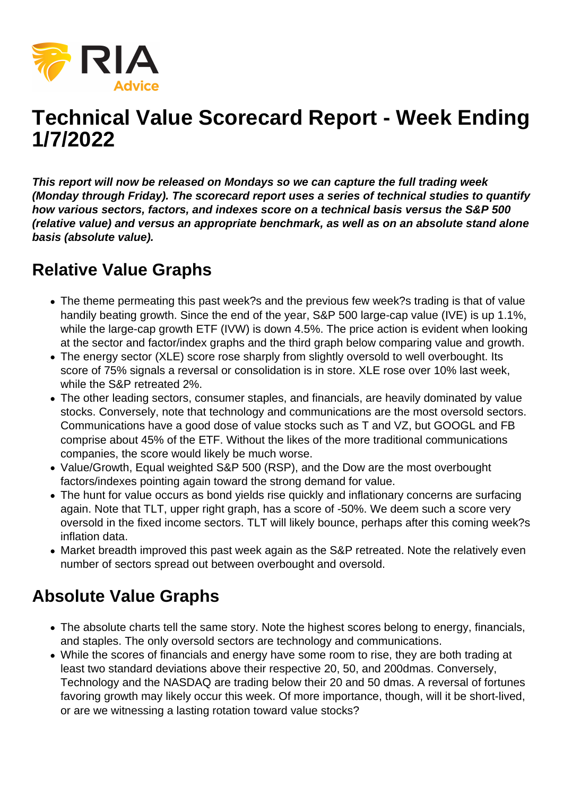

## **Technical Value Scorecard Report - Week Ending 1/7/2022**

**This report will now be released on Mondays so we can capture the full trading week (Monday through Friday). The scorecard report uses a series of technical studies to quantify how various sectors, factors, and indexes score on a technical basis versus the S&P 500 (relative value) and versus an appropriate benchmark, as well as on an absolute stand alone basis (absolute value).**

## **Relative Value Graphs**

- The theme permeating this past week?s and the previous few week?s trading is that of value handily beating growth. Since the end of the year, S&P 500 large-cap value (IVE) is up 1.1%, while the large-cap growth ETF (IVW) is down 4.5%. The price action is evident when looking at the sector and factor/index graphs and the third graph below comparing value and growth.
- The energy sector (XLE) score rose sharply from slightly oversold to well overbought. Its score of 75% signals a reversal or consolidation is in store. XLE rose over 10% last week, while the S&P retreated 2%.
- The other leading sectors, consumer staples, and financials, are heavily dominated by value stocks. Conversely, note that technology and communications are the most oversold sectors. Communications have a good dose of value stocks such as T and VZ, but GOOGL and FB comprise about 45% of the ETF. Without the likes of the more traditional communications companies, the score would likely be much worse.
- Value/Growth, Equal weighted S&P 500 (RSP), and the Dow are the most overbought factors/indexes pointing again toward the strong demand for value.
- The hunt for value occurs as bond yields rise quickly and inflationary concerns are surfacing again. Note that TLT, upper right graph, has a score of -50%. We deem such a score very oversold in the fixed income sectors. TLT will likely bounce, perhaps after this coming week?s inflation data.
- Market breadth improved this past week again as the S&P retreated. Note the relatively even number of sectors spread out between overbought and oversold.

## **Absolute Value Graphs**

- The absolute charts tell the same story. Note the highest scores belong to energy, financials, and staples. The only oversold sectors are technology and communications.
- While the scores of financials and energy have some room to rise, they are both trading at least two standard deviations above their respective 20, 50, and 200dmas. Conversely, Technology and the NASDAQ are trading below their 20 and 50 dmas. A reversal of fortunes favoring growth may likely occur this week. Of more importance, though, will it be short-lived, or are we witnessing a lasting rotation toward value stocks?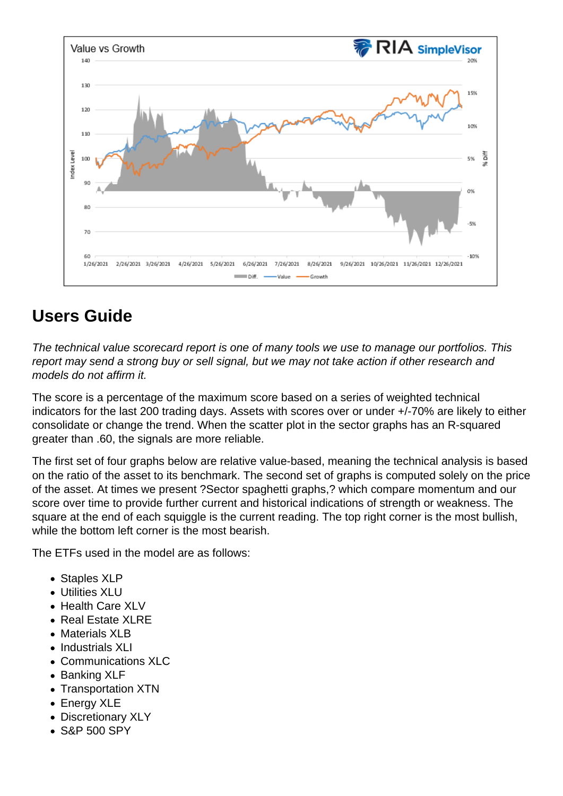## Users Guide

The technical value scorecard report is one of many tools we use to manage our portfolios. This report may send a strong buy or sell signal, but we may not take action if other research and models do not affirm it.

The score is a percentage of the maximum score based on a series of weighted technical indicators for the last 200 trading days. Assets with scores over or under +/-70% are likely to either consolidate or change the trend. When the scatter plot in the sector graphs has an R-squared greater than .60, the signals are more reliable.

The first set of four graphs below are relative value-based, meaning the technical analysis is based on the ratio of the asset to its benchmark. The second set of graphs is computed solely on the price of the asset. At times we present ?Sector spaghetti graphs,? which compare momentum and our score over time to provide further current and historical indications of strength or weakness. The square at the end of each squiggle is the current reading. The top right corner is the most bullish, while the bottom left corner is the most bearish.

The ETFs used in the model are as follows:

- Staples XLP
- Utilities XLU
- Health Care XLV
- Real Estate XLRE
- Materials XLB
- Industrials XLL
- Communications XLC
- Banking XLF
- Transportation XTN
- Energy XLE
- Discretionary XLY
- S&P 500 SPY